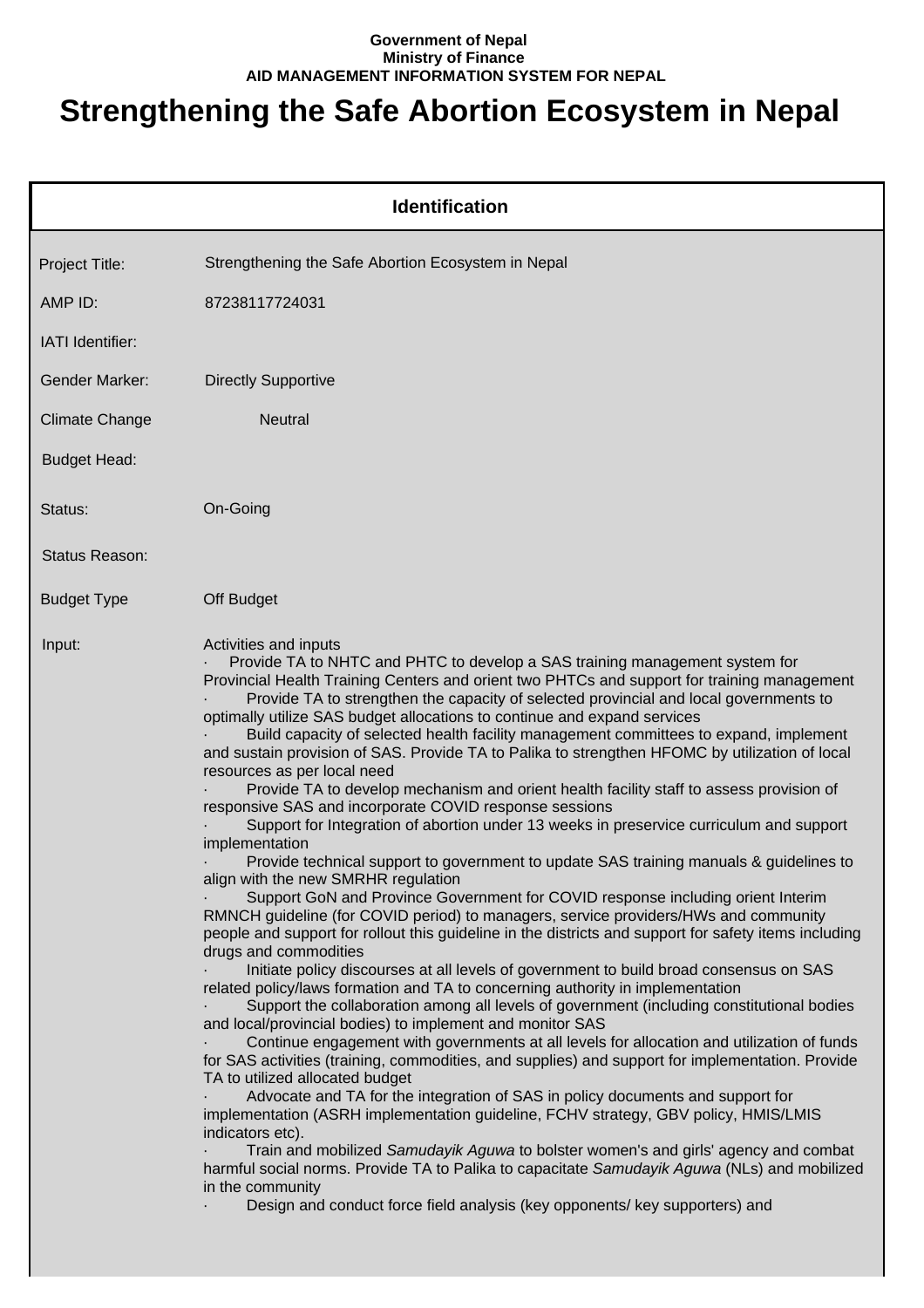## **Government of Nepal Ministry of Finance AID MANAGEMENT INFORMATION SYSTEM FOR NEPAL**

## **Strengthening the Safe Abortion Ecosystem in Nepal**

|                       | <b>Identification</b>                                                                                                                                                                                                                                                                                                                                                                                                                                                                                                                                                                                                                                                                                                                                                                                                                                                                                                                                                                                                                                                                                                                                                                                                                                                                                                                                                                                                                                                                                                                                                                                                                                                                                                                                                                                                                                                                                                                                                                                                                                                                                                                                                                                                                                                                                                                                                               |
|-----------------------|-------------------------------------------------------------------------------------------------------------------------------------------------------------------------------------------------------------------------------------------------------------------------------------------------------------------------------------------------------------------------------------------------------------------------------------------------------------------------------------------------------------------------------------------------------------------------------------------------------------------------------------------------------------------------------------------------------------------------------------------------------------------------------------------------------------------------------------------------------------------------------------------------------------------------------------------------------------------------------------------------------------------------------------------------------------------------------------------------------------------------------------------------------------------------------------------------------------------------------------------------------------------------------------------------------------------------------------------------------------------------------------------------------------------------------------------------------------------------------------------------------------------------------------------------------------------------------------------------------------------------------------------------------------------------------------------------------------------------------------------------------------------------------------------------------------------------------------------------------------------------------------------------------------------------------------------------------------------------------------------------------------------------------------------------------------------------------------------------------------------------------------------------------------------------------------------------------------------------------------------------------------------------------------------------------------------------------------------------------------------------------------|
| Project Title:        | Strengthening the Safe Abortion Ecosystem in Nepal                                                                                                                                                                                                                                                                                                                                                                                                                                                                                                                                                                                                                                                                                                                                                                                                                                                                                                                                                                                                                                                                                                                                                                                                                                                                                                                                                                                                                                                                                                                                                                                                                                                                                                                                                                                                                                                                                                                                                                                                                                                                                                                                                                                                                                                                                                                                  |
| AMP ID:               | 87238117724031                                                                                                                                                                                                                                                                                                                                                                                                                                                                                                                                                                                                                                                                                                                                                                                                                                                                                                                                                                                                                                                                                                                                                                                                                                                                                                                                                                                                                                                                                                                                                                                                                                                                                                                                                                                                                                                                                                                                                                                                                                                                                                                                                                                                                                                                                                                                                                      |
| IATI Identifier:      |                                                                                                                                                                                                                                                                                                                                                                                                                                                                                                                                                                                                                                                                                                                                                                                                                                                                                                                                                                                                                                                                                                                                                                                                                                                                                                                                                                                                                                                                                                                                                                                                                                                                                                                                                                                                                                                                                                                                                                                                                                                                                                                                                                                                                                                                                                                                                                                     |
| Gender Marker:        | <b>Directly Supportive</b>                                                                                                                                                                                                                                                                                                                                                                                                                                                                                                                                                                                                                                                                                                                                                                                                                                                                                                                                                                                                                                                                                                                                                                                                                                                                                                                                                                                                                                                                                                                                                                                                                                                                                                                                                                                                                                                                                                                                                                                                                                                                                                                                                                                                                                                                                                                                                          |
| <b>Climate Change</b> | <b>Neutral</b>                                                                                                                                                                                                                                                                                                                                                                                                                                                                                                                                                                                                                                                                                                                                                                                                                                                                                                                                                                                                                                                                                                                                                                                                                                                                                                                                                                                                                                                                                                                                                                                                                                                                                                                                                                                                                                                                                                                                                                                                                                                                                                                                                                                                                                                                                                                                                                      |
| <b>Budget Head:</b>   |                                                                                                                                                                                                                                                                                                                                                                                                                                                                                                                                                                                                                                                                                                                                                                                                                                                                                                                                                                                                                                                                                                                                                                                                                                                                                                                                                                                                                                                                                                                                                                                                                                                                                                                                                                                                                                                                                                                                                                                                                                                                                                                                                                                                                                                                                                                                                                                     |
| Status:               | On-Going                                                                                                                                                                                                                                                                                                                                                                                                                                                                                                                                                                                                                                                                                                                                                                                                                                                                                                                                                                                                                                                                                                                                                                                                                                                                                                                                                                                                                                                                                                                                                                                                                                                                                                                                                                                                                                                                                                                                                                                                                                                                                                                                                                                                                                                                                                                                                                            |
| Status Reason:        |                                                                                                                                                                                                                                                                                                                                                                                                                                                                                                                                                                                                                                                                                                                                                                                                                                                                                                                                                                                                                                                                                                                                                                                                                                                                                                                                                                                                                                                                                                                                                                                                                                                                                                                                                                                                                                                                                                                                                                                                                                                                                                                                                                                                                                                                                                                                                                                     |
| <b>Budget Type</b>    | Off Budget                                                                                                                                                                                                                                                                                                                                                                                                                                                                                                                                                                                                                                                                                                                                                                                                                                                                                                                                                                                                                                                                                                                                                                                                                                                                                                                                                                                                                                                                                                                                                                                                                                                                                                                                                                                                                                                                                                                                                                                                                                                                                                                                                                                                                                                                                                                                                                          |
| Input:                | Activities and inputs<br>Provide TA to NHTC and PHTC to develop a SAS training management system for<br>Provincial Health Training Centers and orient two PHTCs and support for training management<br>Provide TA to strengthen the capacity of selected provincial and local governments to<br>optimally utilize SAS budget allocations to continue and expand services<br>Build capacity of selected health facility management committees to expand, implement<br>and sustain provision of SAS. Provide TA to Palika to strengthen HFOMC by utilization of local<br>resources as per local need<br>Provide TA to develop mechanism and orient health facility staff to assess provision of<br>responsive SAS and incorporate COVID response sessions<br>Support for Integration of abortion under 13 weeks in preservice curriculum and support<br>implementation<br>Provide technical support to government to update SAS training manuals & guidelines to<br>align with the new SMRHR regulation<br>Support GoN and Province Government for COVID response including orient Interim<br>RMNCH guideline (for COVID period) to managers, service providers/HWs and community<br>people and support for rollout this guideline in the districts and support for safety items including<br>drugs and commodities<br>Initiate policy discourses at all levels of government to build broad consensus on SAS<br>related policy/laws formation and TA to concerning authority in implementation<br>Support the collaboration among all levels of government (including constitutional bodies<br>and local/provincial bodies) to implement and monitor SAS<br>Continue engagement with governments at all levels for allocation and utilization of funds<br>for SAS activities (training, commodities, and supplies) and support for implementation. Provide<br>TA to utilized allocated budget<br>Advocate and TA for the integration of SAS in policy documents and support for<br>implementation (ASRH implementation guideline, FCHV strategy, GBV policy, HMIS/LMIS<br>indicators etc).<br>Train and mobilized Samudayik Aguwa to bolster women's and girls' agency and combat<br>harmful social norms. Provide TA to Palika to capacitate Samudayik Aguwa (NLs) and mobilized<br>in the community<br>Design and conduct force field analysis (key opponents/ key supporters) and |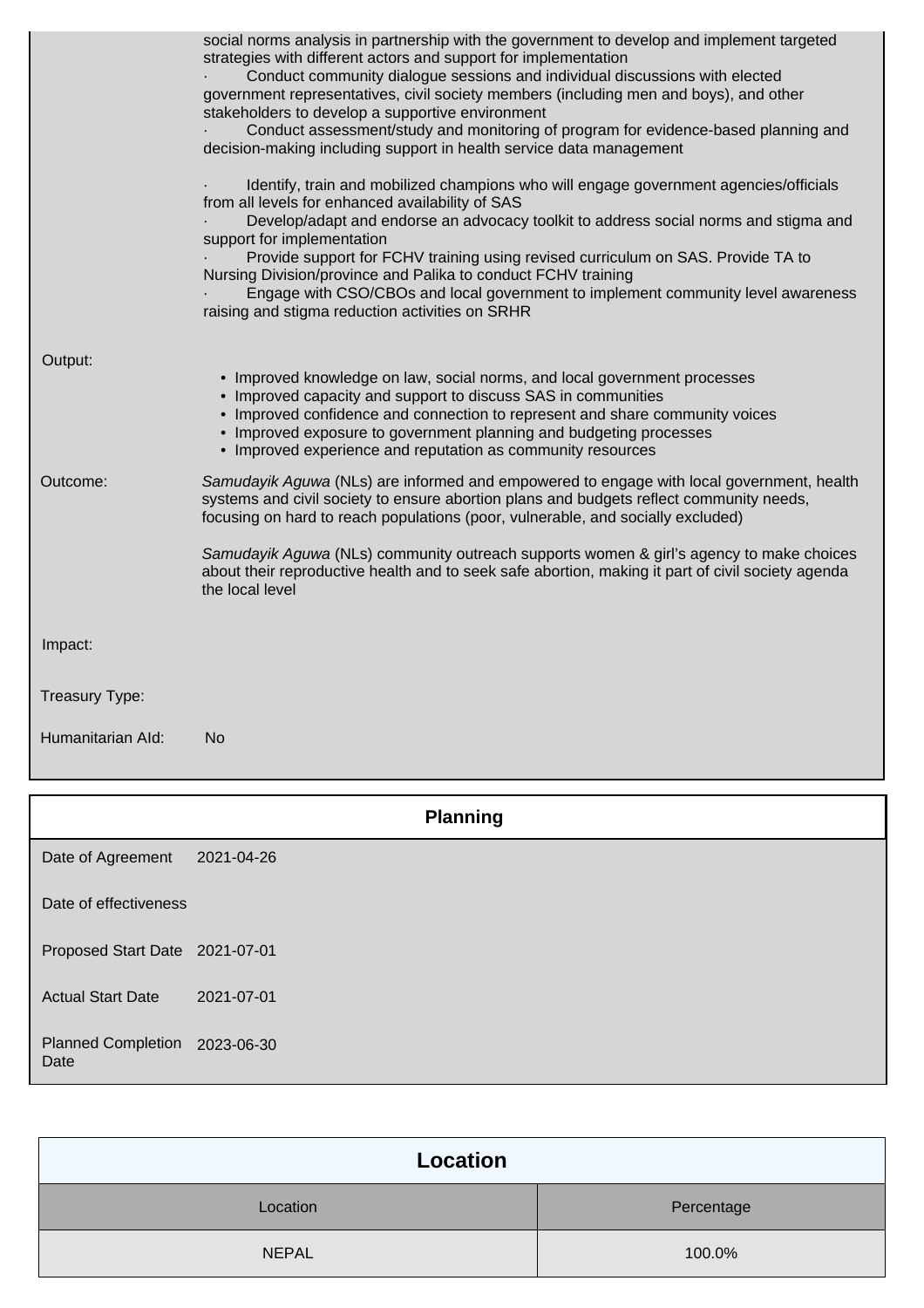|                   | <b>Planning</b>                                                                                                                                                                                                                                                                                                                                                                                                                                                                                                                                                                                                                                                                                                                                                                                                                                                                                                                                                                                                                                                                                                       |
|-------------------|-----------------------------------------------------------------------------------------------------------------------------------------------------------------------------------------------------------------------------------------------------------------------------------------------------------------------------------------------------------------------------------------------------------------------------------------------------------------------------------------------------------------------------------------------------------------------------------------------------------------------------------------------------------------------------------------------------------------------------------------------------------------------------------------------------------------------------------------------------------------------------------------------------------------------------------------------------------------------------------------------------------------------------------------------------------------------------------------------------------------------|
| Humanitarian Ald: | No                                                                                                                                                                                                                                                                                                                                                                                                                                                                                                                                                                                                                                                                                                                                                                                                                                                                                                                                                                                                                                                                                                                    |
| Treasury Type:    |                                                                                                                                                                                                                                                                                                                                                                                                                                                                                                                                                                                                                                                                                                                                                                                                                                                                                                                                                                                                                                                                                                                       |
| Impact:           |                                                                                                                                                                                                                                                                                                                                                                                                                                                                                                                                                                                                                                                                                                                                                                                                                                                                                                                                                                                                                                                                                                                       |
|                   | Samudayik Aguwa (NLs) community outreach supports women & girl's agency to make choices<br>about their reproductive health and to seek safe abortion, making it part of civil society agenda<br>the local level                                                                                                                                                                                                                                                                                                                                                                                                                                                                                                                                                                                                                                                                                                                                                                                                                                                                                                       |
| Outcome:          | Samudayik Aguwa (NLs) are informed and empowered to engage with local government, health<br>systems and civil society to ensure abortion plans and budgets reflect community needs,<br>focusing on hard to reach populations (poor, vulnerable, and socially excluded)                                                                                                                                                                                                                                                                                                                                                                                                                                                                                                                                                                                                                                                                                                                                                                                                                                                |
| Output:           | • Improved knowledge on law, social norms, and local government processes<br>• Improved capacity and support to discuss SAS in communities<br>• Improved confidence and connection to represent and share community voices<br>• Improved exposure to government planning and budgeting processes<br>• Improved experience and reputation as community resources                                                                                                                                                                                                                                                                                                                                                                                                                                                                                                                                                                                                                                                                                                                                                       |
|                   | social norms analysis in partnership with the government to develop and implement targeted<br>strategies with different actors and support for implementation<br>Conduct community dialogue sessions and individual discussions with elected<br>government representatives, civil society members (including men and boys), and other<br>stakeholders to develop a supportive environment<br>Conduct assessment/study and monitoring of program for evidence-based planning and<br>decision-making including support in health service data management<br>Identify, train and mobilized champions who will engage government agencies/officials<br>from all levels for enhanced availability of SAS<br>Develop/adapt and endorse an advocacy toolkit to address social norms and stigma and<br>support for implementation<br>Provide support for FCHV training using revised curriculum on SAS. Provide TA to<br>Nursing Division/province and Palika to conduct FCHV training<br>Engage with CSO/CBOs and local government to implement community level awareness<br>raising and stigma reduction activities on SRHR |

|                                       | <b>Planning</b> |
|---------------------------------------|-----------------|
| Date of Agreement                     | 2021-04-26      |
| Date of effectiveness                 |                 |
| Proposed Start Date 2021-07-01        |                 |
| <b>Actual Start Date</b>              | 2021-07-01      |
| Planned Completion 2023-06-30<br>Date |                 |

| Location     |            |
|--------------|------------|
| Location     | Percentage |
| <b>NEPAL</b> | 100.0%     |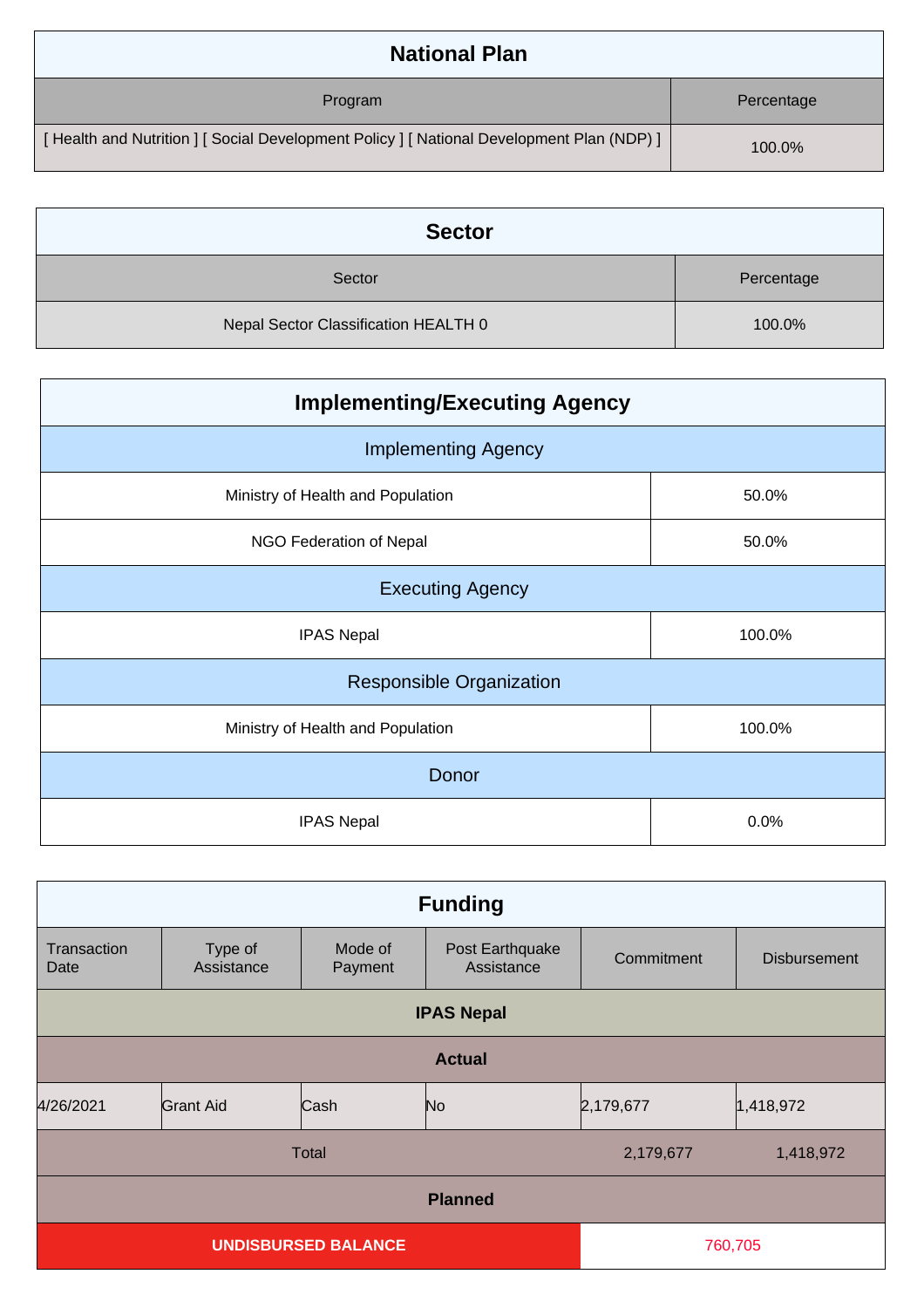| <b>National Plan</b>                                                                    |            |
|-----------------------------------------------------------------------------------------|------------|
| Program                                                                                 | Percentage |
| [Health and Nutrition ] [Social Development Policy ] [National Development Plan (NDP) ] | 100.0%     |

| <b>Sector</b>                        |            |  |
|--------------------------------------|------------|--|
| Sector                               | Percentage |  |
| Nepal Sector Classification HEALTH 0 | 100.0%     |  |

| <b>Implementing/Executing Agency</b> |        |  |
|--------------------------------------|--------|--|
| <b>Implementing Agency</b>           |        |  |
| Ministry of Health and Population    | 50.0%  |  |
| NGO Federation of Nepal              | 50.0%  |  |
| <b>Executing Agency</b>              |        |  |
| <b>IPAS Nepal</b>                    | 100.0% |  |
| <b>Responsible Organization</b>      |        |  |
| Ministry of Health and Population    | 100.0% |  |
| Donor                                |        |  |
| <b>IPAS Nepal</b>                    | 0.0%   |  |

| <b>Funding</b>                        |                       |                    |                               |            |                     |
|---------------------------------------|-----------------------|--------------------|-------------------------------|------------|---------------------|
| Transaction<br>Date                   | Type of<br>Assistance | Mode of<br>Payment | Post Earthquake<br>Assistance | Commitment | <b>Disbursement</b> |
|                                       |                       |                    | <b>IPAS Nepal</b>             |            |                     |
| <b>Actual</b>                         |                       |                    |                               |            |                     |
| 4/26/2021                             | Grant Aid             | Cash               | N <sub>o</sub>                | 2,179,677  | 1,418,972           |
| Total<br>2,179,677                    |                       |                    | 1,418,972                     |            |                     |
| <b>Planned</b>                        |                       |                    |                               |            |                     |
| <b>UNDISBURSED BALANCE</b><br>760,705 |                       |                    |                               |            |                     |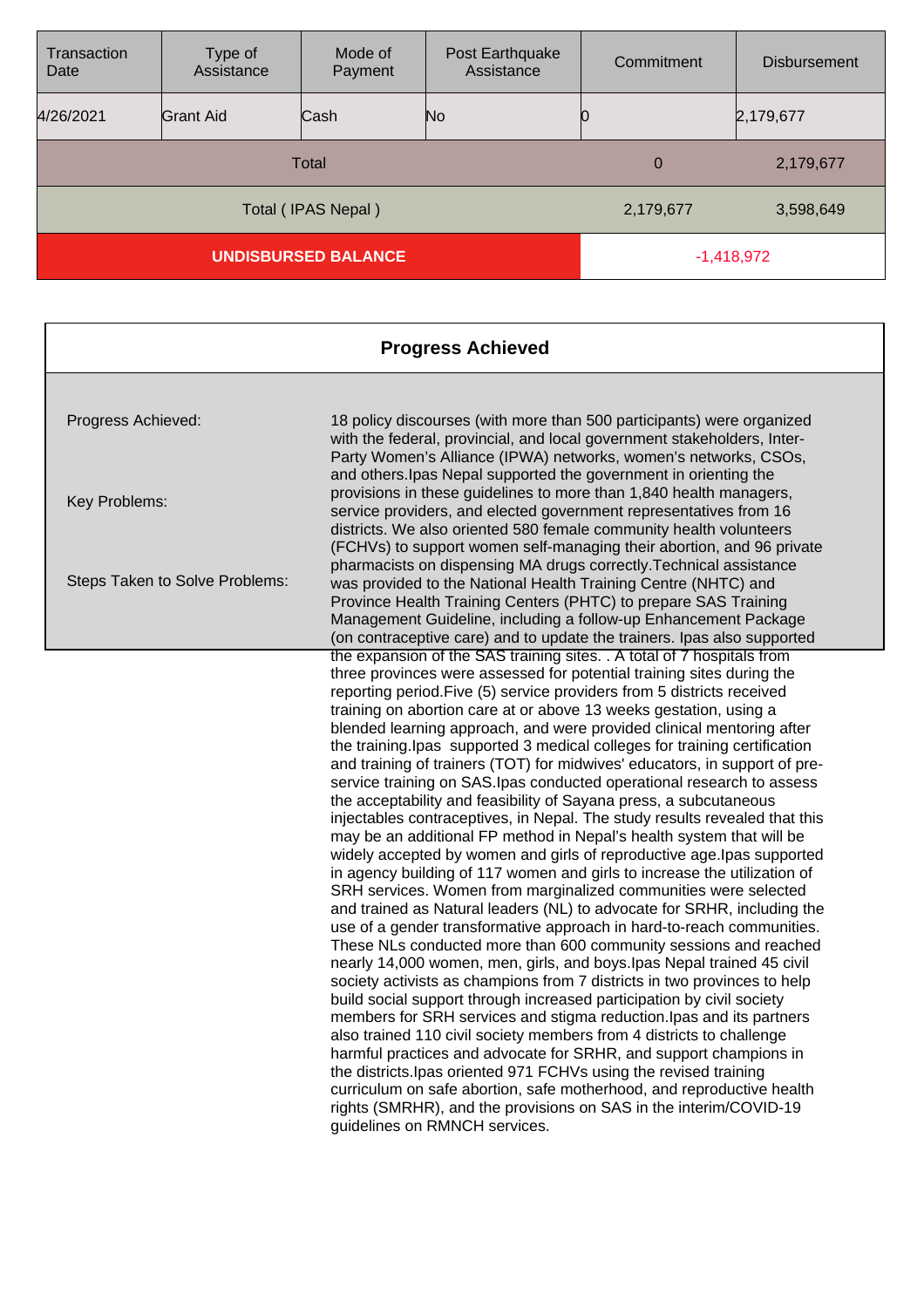| Transaction<br>Date        | Type of<br>Assistance | Mode of<br>Payment | Post Earthquake<br>Assistance | Commitment  | <b>Disbursement</b> |
|----------------------------|-----------------------|--------------------|-------------------------------|-------------|---------------------|
| 4/26/2021                  | <b>Grant Aid</b>      | Cash               | No                            |             | 2,179,677           |
| Total                      |                       |                    |                               | $\mathbf 0$ | 2,179,677           |
| Total (IPAS Nepal)         |                       |                    | 2,179,677                     | 3,598,649   |                     |
| <b>UNDISBURSED BALANCE</b> |                       |                    | $-1,418,972$                  |             |                     |

| <b>Progress Achieved</b>       |                                                                                                                                                                                                                                                                                                                                                       |  |
|--------------------------------|-------------------------------------------------------------------------------------------------------------------------------------------------------------------------------------------------------------------------------------------------------------------------------------------------------------------------------------------------------|--|
|                                |                                                                                                                                                                                                                                                                                                                                                       |  |
| Progress Achieved:             | 18 policy discourses (with more than 500 participants) were organized<br>with the federal, provincial, and local government stakeholders, Inter-<br>Party Women's Alliance (IPWA) networks, women's networks, CSOs,<br>and others. Ipas Nepal supported the government in orienting the                                                               |  |
| Key Problems:                  | provisions in these guidelines to more than 1,840 health managers,<br>service providers, and elected government representatives from 16<br>districts. We also oriented 580 female community health volunteers<br>(FCHVs) to support women self-managing their abortion, and 96 private                                                                |  |
| Steps Taken to Solve Problems: | pharmacists on dispensing MA drugs correctly. Technical assistance<br>was provided to the National Health Training Centre (NHTC) and<br>Province Health Training Centers (PHTC) to prepare SAS Training<br>Management Guideline, including a follow-up Enhancement Package<br>(on contraceptive care) and to update the trainers. Ipas also supported |  |
|                                | the expansion of the SAS training sites. . A total of 7 hospitals from                                                                                                                                                                                                                                                                                |  |
|                                | three provinces were assessed for potential training sites during the                                                                                                                                                                                                                                                                                 |  |
|                                | reporting period. Five (5) service providers from 5 districts received                                                                                                                                                                                                                                                                                |  |
|                                | training on abortion care at or above 13 weeks gestation, using a                                                                                                                                                                                                                                                                                     |  |
|                                | blended learning approach, and were provided clinical mentoring after                                                                                                                                                                                                                                                                                 |  |
|                                | the training. Ipas supported 3 medical colleges for training certification<br>and training of trainers (TOT) for midwives' educators, in support of pre-                                                                                                                                                                                              |  |
|                                | service training on SAS. Ipas conducted operational research to assess                                                                                                                                                                                                                                                                                |  |
|                                | the acceptability and feasibility of Sayana press, a subcutaneous                                                                                                                                                                                                                                                                                     |  |
|                                | injectables contraceptives, in Nepal. The study results revealed that this                                                                                                                                                                                                                                                                            |  |
|                                | may be an additional FP method in Nepal's health system that will be                                                                                                                                                                                                                                                                                  |  |
|                                | widely accepted by women and girls of reproductive age. Ipas supported                                                                                                                                                                                                                                                                                |  |
|                                | in agency building of 117 women and girls to increase the utilization of                                                                                                                                                                                                                                                                              |  |
|                                | SRH services. Women from marginalized communities were selected                                                                                                                                                                                                                                                                                       |  |
|                                | and trained as Natural leaders (NL) to advocate for SRHR, including the<br>use of a gender transformative approach in hard-to-reach communities.                                                                                                                                                                                                      |  |
|                                | These NLs conducted more than 600 community sessions and reached                                                                                                                                                                                                                                                                                      |  |
|                                | nearly 14,000 women, men, girls, and boys. Ipas Nepal trained 45 civil                                                                                                                                                                                                                                                                                |  |
|                                | society activists as champions from 7 districts in two provinces to help                                                                                                                                                                                                                                                                              |  |
|                                | build social support through increased participation by civil society                                                                                                                                                                                                                                                                                 |  |
|                                | members for SRH services and stigma reduction. Ipas and its partners                                                                                                                                                                                                                                                                                  |  |
|                                | also trained 110 civil society members from 4 districts to challenge                                                                                                                                                                                                                                                                                  |  |
|                                | harmful practices and advocate for SRHR, and support champions in                                                                                                                                                                                                                                                                                     |  |
|                                | the districts. Ipas oriented 971 FCHVs using the revised training                                                                                                                                                                                                                                                                                     |  |
|                                | curriculum on safe abortion, safe motherhood, and reproductive health                                                                                                                                                                                                                                                                                 |  |
|                                | rights (SMRHR), and the provisions on SAS in the interim/COVID-19<br>guidelines on RMNCH services.                                                                                                                                                                                                                                                    |  |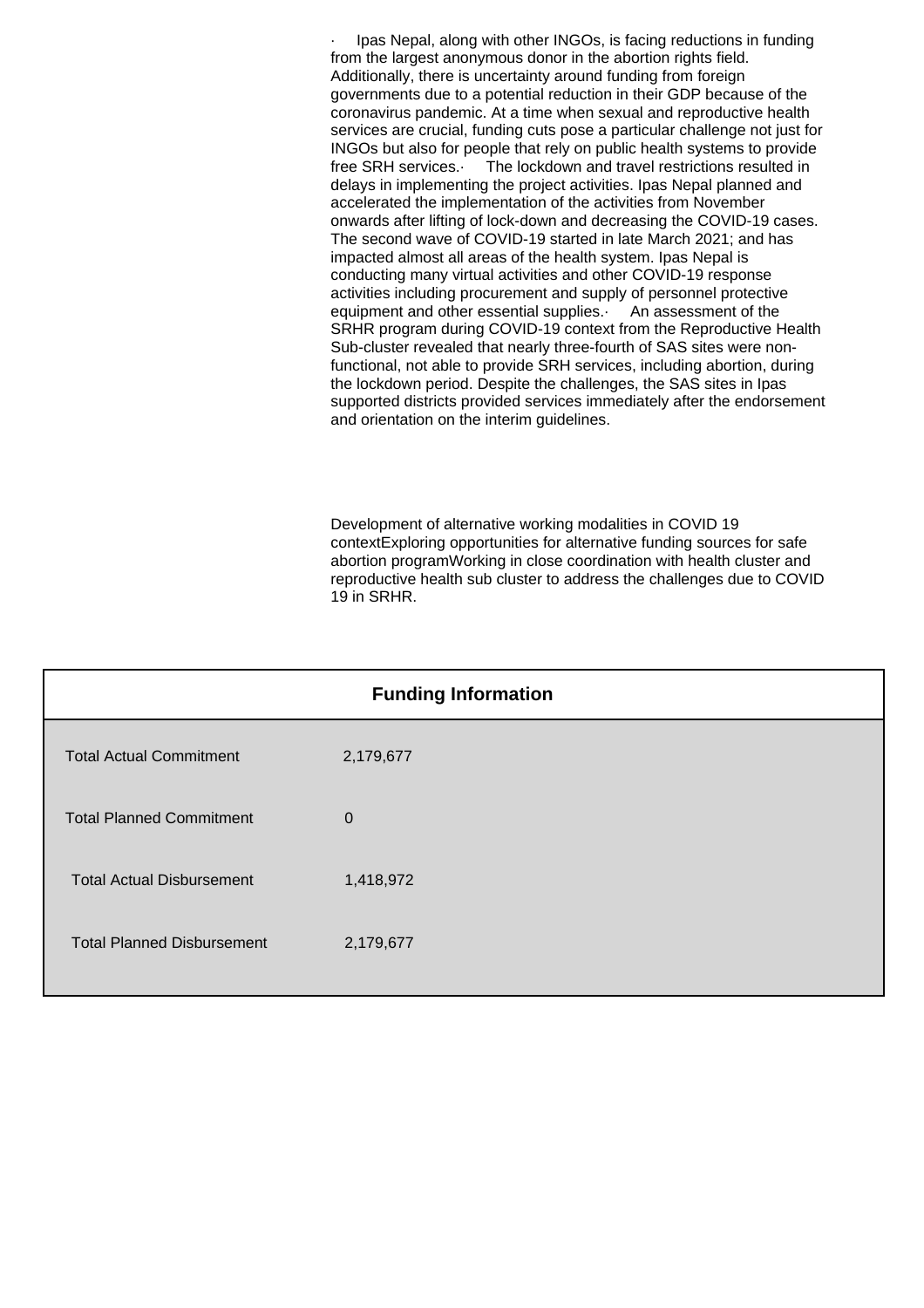Ipas Nepal, along with other INGOs, is facing reductions in funding from the largest anonymous donor in the abortion rights field. Additionally, there is uncertainty around funding from foreign governments due to a potential reduction in their GDP because of the coronavirus pandemic. At a time when sexual and reproductive health services are crucial, funding cuts pose a particular challenge not just for INGOs but also for people that rely on public health systems to provide free SRH services.· The lockdown and travel restrictions resulted in delays in implementing the project activities. Ipas Nepal planned and accelerated the implementation of the activities from November onwards after lifting of lock-down and decreasing the COVID-19 cases. The second wave of COVID-19 started in late March 2021; and has impacted almost all areas of the health system. Ipas Nepal is conducting many virtual activities and other COVID-19 response activities including procurement and supply of personnel protective equipment and other essential supplies. An assessment of the SRHR program during COVID-19 context from the Reproductive Health Sub-cluster revealed that nearly three-fourth of SAS sites were nonfunctional, not able to provide SRH services, including abortion, during the lockdown period. Despite the challenges, the SAS sites in Ipas supported districts provided services immediately after the endorsement and orientation on the interim guidelines.

Development of alternative working modalities in COVID 19 contextExploring opportunities for alternative funding sources for safe abortion programWorking in close coordination with health cluster and reproductive health sub cluster to address the challenges due to COVID 19 in SRHR.

| <b>Funding Information</b>        |             |  |
|-----------------------------------|-------------|--|
| <b>Total Actual Commitment</b>    | 2,179,677   |  |
| <b>Total Planned Commitment</b>   | $\mathbf 0$ |  |
| <b>Total Actual Disbursement</b>  | 1,418,972   |  |
| <b>Total Planned Disbursement</b> | 2,179,677   |  |
|                                   |             |  |